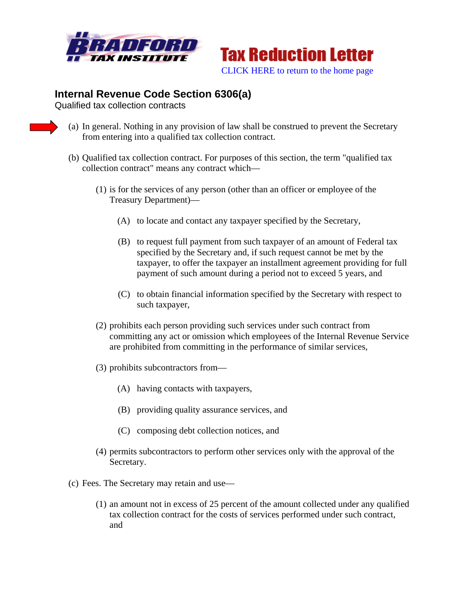



## **Internal Revenue Code Section 6306(a)**

Qualified tax collection contracts

- (a) In general. Nothing in any provision of law shall be construed to prevent the Secretary from entering into a qualified tax collection contract.
- (b) Qualified tax collection contract. For purposes of this section, the term "qualified tax collection contract" means any contract which—
	- (1) is for the services of any person (other than an officer or employee of the Treasury Department)—
		- (A) to locate and contact any taxpayer specified by the Secretary,
		- (B) to request full payment from such taxpayer of an amount of Federal tax specified by the Secretary and, if such request cannot be met by the taxpayer, to offer the taxpayer an installment agreement providing for full payment of such amount during a period not to exceed 5 years, and
		- (C) to obtain financial information specified by the Secretary with respect to such taxpayer,
	- (2) prohibits each person providing such services under such contract from committing any act or omission which employees of the Internal Revenue Service are prohibited from committing in the performance of similar services,
	- (3) prohibits subcontractors from—
		- (A) having contacts with taxpayers,
		- (B) providing quality assurance services, and
		- (C) composing debt collection notices, and
	- (4) permits subcontractors to perform other services only with the approval of the Secretary.
- (c) Fees. The Secretary may retain and use—
	- (1) an amount not in excess of 25 percent of the amount collected under any qualified tax collection contract for the costs of services performed under such contract, and